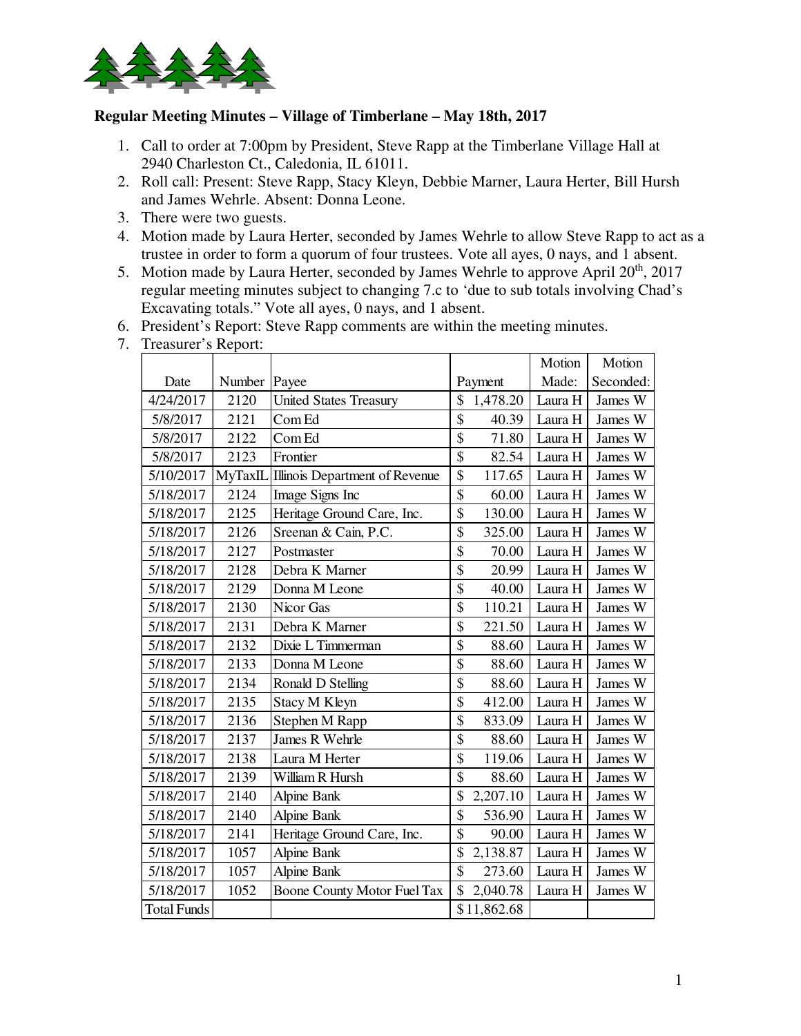

## **Regular Meeting Minutes – Village of Timberlane – May 18th, 2017**

- 1. Call to order at 7:00pm by President, Steve Rapp at the Timberlane Village Hall at 2940 Charleston Ct., Caledonia, IL 61011.
- 2. Roll call: Present: Steve Rapp, Stacy Kleyn, Debbie Marner, Laura Herter, Bill Hursh and James Wehrle. Absent: Donna Leone.
- 3. There were two guests.
- 4. Motion made by Laura Herter, seconded by James Wehrle to allow Steve Rapp to act as a trustee in order to form a quorum of four trustees. Vote all ayes, 0 nays, and 1 absent.
- 5. Motion made by Laura Herter, seconded by James Wehrle to approve April  $20<sup>th</sup>$ ,  $2017$ regular meeting minutes subject to changing 7.c to 'due to sub totals involving Chad's Excavating totals." Vote all ayes, 0 nays, and 1 absent.
- 6. President's Report: Steve Rapp comments are within the meeting minutes.

|                    |        |                                        |                                   | Motion  | Motion    |
|--------------------|--------|----------------------------------------|-----------------------------------|---------|-----------|
| Date               | Number | Payee                                  | Payment                           | Made:   | Seconded: |
| 4/24/2017          | 2120   | <b>United States Treasury</b>          | \$<br>1,478.20                    | Laura H | James W   |
| 5/8/2017           | 2121   | Com Ed                                 | $\mathsf{\$}$<br>40.39            | Laura H | James W   |
| 5/8/2017           | 2122   | Com Ed                                 | \$<br>71.80                       | Laura H | James W   |
| 5/8/2017           | 2123   | Frontier                               | \$<br>82.54                       | Laura H | James W   |
| 5/10/2017          |        | MyTaxIL Illinois Department of Revenue | \$<br>117.65                      | Laura H | James W   |
| 5/18/2017          | 2124   | Image Signs Inc                        | $\overline{\mathcal{S}}$<br>60.00 | Laura H | James W   |
| 5/18/2017          | 2125   | Heritage Ground Care, Inc.             | \$<br>130.00                      | Laura H | James W   |
| 5/18/2017          | 2126   | Sreenan & Cain, P.C.                   | \$<br>325.00                      | Laura H | James W   |
| 5/18/2017          | 2127   | Postmaster                             | \$<br>70.00                       | Laura H | James W   |
| 5/18/2017          | 2128   | Debra K Marner                         | \$<br>20.99                       | Laura H | James W   |
| 5/18/2017          | 2129   | Donna M Leone                          | \$<br>40.00                       | Laura H | James W   |
| 5/18/2017          | 2130   | Nicor Gas                              | \$<br>110.21                      | Laura H | James W   |
| 5/18/2017          | 2131   | Debra K Marner                         | \$<br>221.50                      | Laura H | James W   |
| 5/18/2017          | 2132   | Dixie L Timmerman                      | \$<br>88.60                       | Laura H | James W   |
| 5/18/2017          | 2133   | Donna M Leone                          | \$<br>88.60                       | Laura H | James W   |
| 5/18/2017          | 2134   | Ronald D Stelling                      | \$<br>88.60                       | Laura H | James W   |
| 5/18/2017          | 2135   | Stacy M Kleyn                          | \$<br>412.00                      | Laura H | James W   |
| 5/18/2017          | 2136   | Stephen M Rapp                         | \$<br>833.09                      | Laura H | James W   |
| 5/18/2017          | 2137   | James R Wehrle                         | \$<br>88.60                       | Laura H | James W   |
| 5/18/2017          | 2138   | Laura M Herter                         | \$<br>119.06                      | Laura H | James W   |
| 5/18/2017          | 2139   | William R Hursh                        | \$<br>88.60                       | Laura H | James W   |
| 5/18/2017          | 2140   | Alpine Bank                            | \$<br>2,207.10                    | Laura H | James W   |
| 5/18/2017          | 2140   | Alpine Bank                            | \$<br>536.90                      | Laura H | James W   |
| 5/18/2017          | 2141   | Heritage Ground Care, Inc.             | \$<br>90.00                       | Laura H | James W   |
| 5/18/2017          | 1057   | <b>Alpine Bank</b>                     | \$<br>2,138.87                    | Laura H | James W   |
| 5/18/2017          | 1057   | Alpine Bank                            | $\hat{S}$<br>273.60               | Laura H | James W   |
| 5/18/2017          | 1052   | <b>Boone County Motor Fuel Tax</b>     | \$<br>2,040.78                    | Laura H | James W   |
| <b>Total Funds</b> |        |                                        | \$11,862.68                       |         |           |

7. Treasurer's Report: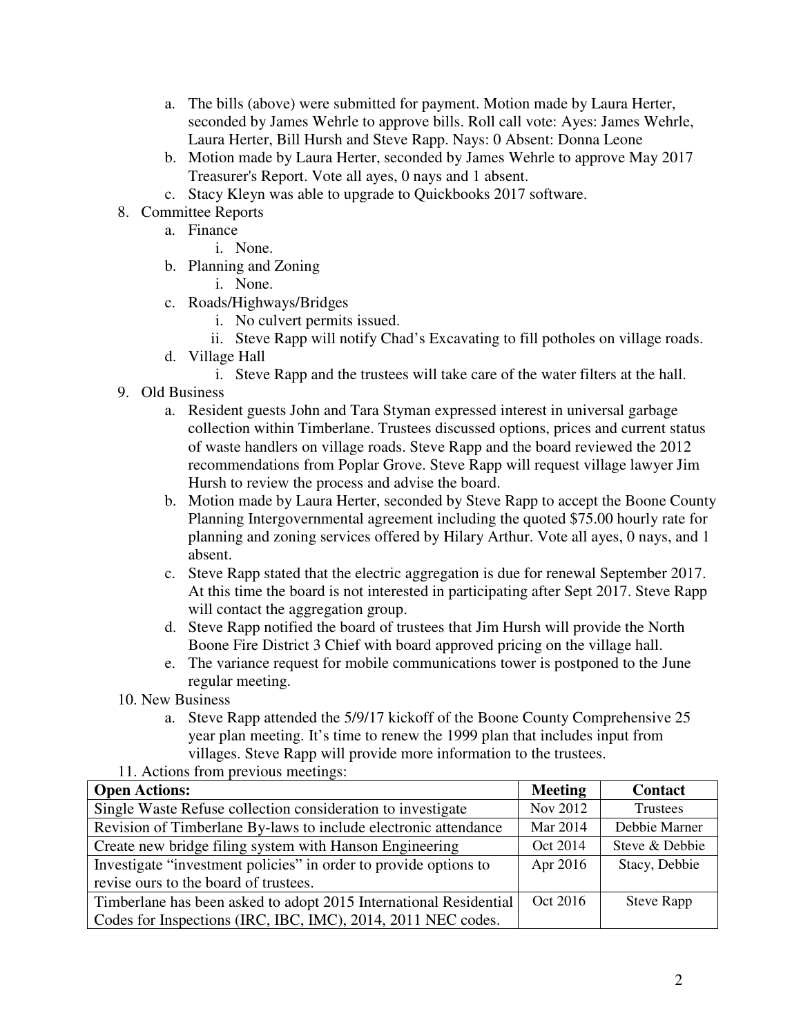- a. The bills (above) were submitted for payment. Motion made by Laura Herter, seconded by James Wehrle to approve bills. Roll call vote: Ayes: James Wehrle, Laura Herter, Bill Hursh and Steve Rapp. Nays: 0 Absent: Donna Leone
- b. Motion made by Laura Herter, seconded by James Wehrle to approve May 2017 Treasurer's Report. Vote all ayes, 0 nays and 1 absent.
- c. Stacy Kleyn was able to upgrade to Quickbooks 2017 software.
- 8. Committee Reports
	- a. Finance
		- i. None.
	- b. Planning and Zoning
		- i. None.
	- c. Roads/Highways/Bridges
		- i. No culvert permits issued.
		- ii. Steve Rapp will notify Chad's Excavating to fill potholes on village roads.
	- d. Village Hall
		- i. Steve Rapp and the trustees will take care of the water filters at the hall.
- 9. Old Business
	- a. Resident guests John and Tara Styman expressed interest in universal garbage collection within Timberlane. Trustees discussed options, prices and current status of waste handlers on village roads. Steve Rapp and the board reviewed the 2012 recommendations from Poplar Grove. Steve Rapp will request village lawyer Jim Hursh to review the process and advise the board.
	- b. Motion made by Laura Herter, seconded by Steve Rapp to accept the Boone County Planning Intergovernmental agreement including the quoted \$75.00 hourly rate for planning and zoning services offered by Hilary Arthur. Vote all ayes, 0 nays, and 1 absent.
	- c. Steve Rapp stated that the electric aggregation is due for renewal September 2017. At this time the board is not interested in participating after Sept 2017. Steve Rapp will contact the aggregation group.
	- d. Steve Rapp notified the board of trustees that Jim Hursh will provide the North Boone Fire District 3 Chief with board approved pricing on the village hall.
	- e. The variance request for mobile communications tower is postponed to the June regular meeting.
- 10. New Business
	- a. Steve Rapp attended the 5/9/17 kickoff of the Boone County Comprehensive 25 year plan meeting. It's time to renew the 1999 plan that includes input from villages. Steve Rapp will provide more information to the trustees.
- 11. Actions from previous meetings:

| <b>Open Actions:</b>                                              | <b>Meeting</b> | <b>Contact</b>    |
|-------------------------------------------------------------------|----------------|-------------------|
| Single Waste Refuse collection consideration to investigate       | Nov 2012       | Trustees          |
| Revision of Timberlane By-laws to include electronic attendance   | Mar 2014       | Debbie Marner     |
| Create new bridge filing system with Hanson Engineering           | Oct 2014       | Steve & Debbie    |
| Investigate "investment policies" in order to provide options to  | Apr 2016       | Stacy, Debbie     |
| revise ours to the board of trustees.                             |                |                   |
| Timberlane has been asked to adopt 2015 International Residential | Oct 2016       | <b>Steve Rapp</b> |
| Codes for Inspections (IRC, IBC, IMC), 2014, 2011 NEC codes.      |                |                   |